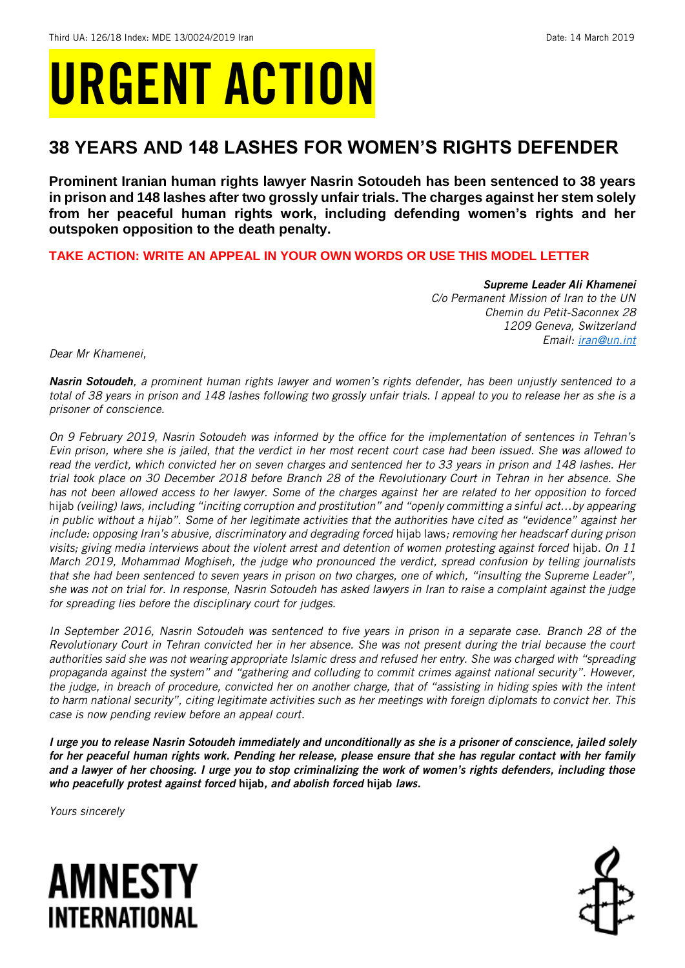# URGENT ACTION

## **38 YEARS AND 148 LASHES FOR WOMEN'S RIGHTS DEFENDER**

**Prominent Iranian human rights lawyer Nasrin Sotoudeh has been sentenced to 38 years in prison and 148 lashes after two grossly unfair trials. The charges against her stem solely from her peaceful human rights work, including defending women's rights and her outspoken opposition to the death penalty.**

### **TAKE ACTION: WRITE AN APPEAL IN YOUR OWN WORDS OR USE THIS MODEL LETTER**

*Supreme Leader Ali Khamenei C/o Permanent Mission of Iran to the UN Chemin du Petit-Saconnex 28 1209 Geneva, Switzerland Email: [iran@un.int](mailto:iran@un.int)*

*Dear Mr Khamenei,*

*Nasrin Sotoudeh, a prominent human rights lawyer and women's rights defender, has been unjustly sentenced to a total of 38 years in prison and 148 lashes following two grossly unfair trials. I appeal to you to release her as she is a prisoner of conscience.* 

*On 9 February 2019, Nasrin Sotoudeh was informed by the office for the implementation of sentences in Tehran's Evin prison, where she is jailed, that the verdict in her most recent court case had been issued. She was allowed to read the verdict, which convicted her on seven charges and sentenced her to 33 years in prison and 148 lashes. Her trial took place on 30 December 2018 before Branch 28 of the Revolutionary Court in Tehran in her absence. She has not been allowed access to her lawyer. Some of the charges against her are related to her opposition to forced*  hijab *(veiling) laws, including "inciting corruption and prostitution" and "openly committing a sinful act…by appearing in public without a hijab". Some of her legitimate activities that the authorities have cited as "evidence" against her*  include: opposing Iran's abusive, discriminatory and degrading forced hijab laws; removing her headscarf during prison *visits; giving media interviews about the violent arrest and detention of women protesting against forced* hijab*. On 11 March 2019, Mohammad Moghiseh, the judge who pronounced the verdict, spread confusion by telling journalists that she had been sentenced to seven years in prison on two charges, one of which, "insulting the Supreme Leader", she was not on trial for. In response, Nasrin Sotoudeh has asked lawyers in Iran to raise a complaint against the judge for spreading lies before the disciplinary court for judges.* 

*In September 2016, Nasrin Sotoudeh was sentenced to five years in prison in a separate case. Branch 28 of the Revolutionary Court in Tehran convicted her in her absence. She was not present during the trial because the court authorities said she was not wearing appropriate Islamic dress and refused her entry. She was charged with "spreading propaganda against the system" and "gathering and colluding to commit crimes against national security". However, the judge, in breach of procedure, convicted her on another charge, that of "assisting in hiding spies with the intent to harm national security", citing legitimate activities such as her meetings with foreign diplomats to convict her. This case is now pending review before an appeal court.*

*I urge you to release Nasrin Sotoudeh immediately and unconditionally as she is a prisoner of conscience, jailed solely for her peaceful human rights work. Pending her release, please ensure that she has regular contact with her family and a lawyer of her choosing. I urge you to stop criminalizing the work of women's rights defenders, including those who peacefully protest against forced* hijab*, and abolish forced* hijab *laws.*

*Yours sincerely*